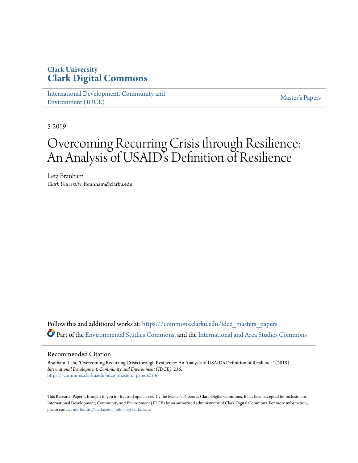# **Clark University [Clark Digital Commons](https://commons.clarku.edu?utm_source=commons.clarku.edu%2Fidce_masters_papers%2F236&utm_medium=PDF&utm_campaign=PDFCoverPages)**

[International Development, Community and](https://commons.clarku.edu/idce_masters_papers?utm_source=commons.clarku.edu%2Fidce_masters_papers%2F236&utm_medium=PDF&utm_campaign=PDFCoverPages) [Environment \(IDCE\)](https://commons.clarku.edu/idce_masters_papers?utm_source=commons.clarku.edu%2Fidce_masters_papers%2F236&utm_medium=PDF&utm_campaign=PDFCoverPages)

[Master's Papers](https://commons.clarku.edu/masters_papers?utm_source=commons.clarku.edu%2Fidce_masters_papers%2F236&utm_medium=PDF&utm_campaign=PDFCoverPages)

5-2019

# Overcoming Recurring Crisis through Resilience: An Analysis of USAID's Definition of Resilience

Leta Branham *Clark University*, lbranham@clarku.edu

Follow this and additional works at: [https://commons.clarku.edu/idce\\_masters\\_papers](https://commons.clarku.edu/idce_masters_papers?utm_source=commons.clarku.edu%2Fidce_masters_papers%2F236&utm_medium=PDF&utm_campaign=PDFCoverPages) Part of the [Environmental Studies Commons](http://network.bepress.com/hgg/discipline/1333?utm_source=commons.clarku.edu%2Fidce_masters_papers%2F236&utm_medium=PDF&utm_campaign=PDFCoverPages), and the [International and Area Studies Commons](http://network.bepress.com/hgg/discipline/360?utm_source=commons.clarku.edu%2Fidce_masters_papers%2F236&utm_medium=PDF&utm_campaign=PDFCoverPages)

#### Recommended Citation

Branham, Leta, "Overcoming Recurring Crisis through Resilience: An Analysis of USAID's Definition of Resilience" (2019). *International Development, Community and Environment (IDCE)*. 236. [https://commons.clarku.edu/idce\\_masters\\_papers/236](https://commons.clarku.edu/idce_masters_papers/236?utm_source=commons.clarku.edu%2Fidce_masters_papers%2F236&utm_medium=PDF&utm_campaign=PDFCoverPages)

This Research Paper is brought to you for free and open access by the Master's Papers at Clark Digital Commons. It has been accepted for inclusion in International Development, Community and Environment (IDCE) by an authorized administrator of Clark Digital Commons. For more information, please contact [mkrikonis@clarku.edu, jodolan@clarku.edu](mailto:mkrikonis@clarku.edu,%20jodolan@clarku.edu).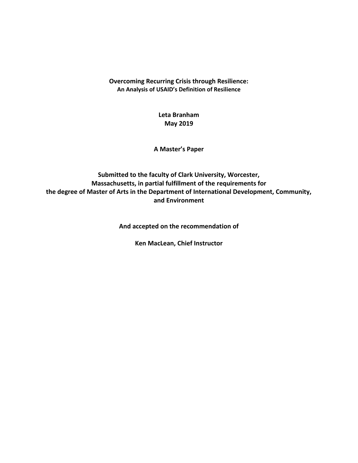## **Overcoming Recurring Crisis through Resilience: An Analysis of USAID's Definition of Resilience**

# **Leta Branham May 2019**

**A Master's Paper**

# **Submitted to the faculty of Clark University, Worcester, Massachusetts, in partial fulfillment of the requirements for the degree of Master of Arts in the Department of International Development, Community, and Environment**

**And accepted on the recommendation of**

**Ken MacLean, Chief Instructor**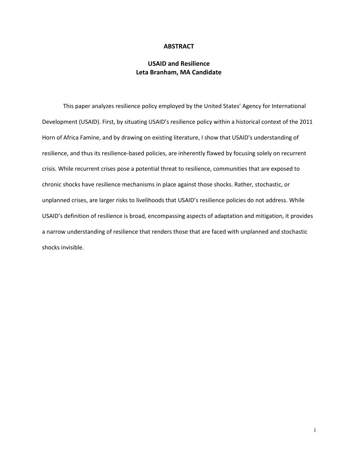#### **ABSTRACT**

## **USAID and Resilience Leta Branham, MA Candidate**

This paper analyzes resilience policy employed by the United States' Agency for International Development (USAID). First, by situating USAID's resilience policy within a historical context of the 2011 Horn of Africa Famine, and by drawing on existing literature, I show that USAID's understanding of resilience, and thus its resilience-based policies, are inherently flawed by focusing solely on recurrent crisis. While recurrent crises pose a potential threat to resilience, communities that are exposed to chronic shocks have resilience mechanisms in place against those shocks. Rather, stochastic, or unplanned crises, are larger risks to livelihoods that USAID's resilience policies do not address. While USAID's definition of resilience is broad, encompassing aspects of adaptation and mitigation, it provides a narrow understanding of resilience that renders those that are faced with unplanned and stochastic shocks invisible.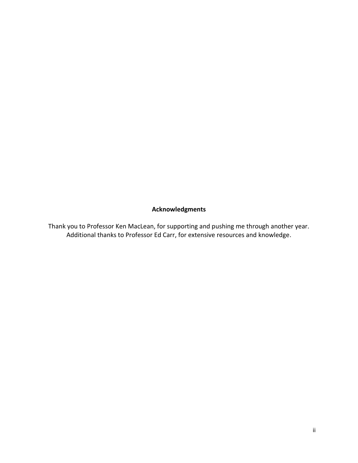# **Acknowledgments**

Thank you to Professor Ken MacLean, for supporting and pushing me through another year. Additional thanks to Professor Ed Carr, for extensive resources and knowledge.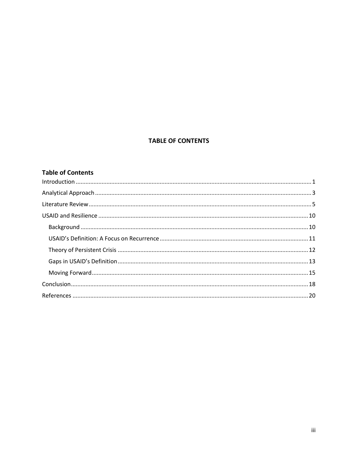## **TABLE OF CONTENTS**

## **Table of Contents**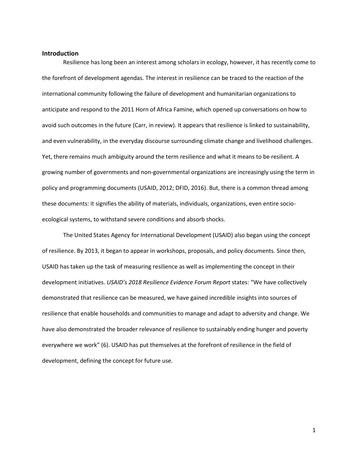#### <span id="page-5-0"></span>**Introduction**

Resilience has long been an interest among scholars in ecology, however, it has recently come to the forefront of development agendas. The interest in resilience can be traced to the reaction of the international community following the failure of development and humanitarian organizations to anticipate and respond to the 2011 Horn of Africa Famine, which opened up conversations on how to avoid such outcomes in the future (Carr, in review). It appears that resilience is linked to sustainability, and even vulnerability, in the everyday discourse surrounding climate change and livelihood challenges. Yet, there remains much ambiguity around the term resilience and what it means to be resilient. A growing number of governments and non-governmental organizations are increasingly using the term in policy and programming documents (USAID, 2012; DFID, 2016). But, there is a common thread among these documents: it signifies the ability of materials, individuals, organizations, even entire socioecological systems, to withstand severe conditions and absorb shocks.

The United States Agency for International Development (USAID) also began using the concept of resilience. By 2013, it began to appear in workshops, proposals, and policy documents. Since then, USAID has taken up the task of measuring resilience as well as implementing the concept in their development initiatives. *USAID's 2018 Resilience Evidence Forum Report* states: "We have collectively demonstrated that resilience can be measured, we have gained incredible insights into sources of resilience that enable households and communities to manage and adapt to adversity and change. We have also demonstrated the broader relevance of resilience to sustainably ending hunger and poverty everywhere we work" (6). USAID has put themselves at the forefront of resilience in the field of development, defining the concept for future use.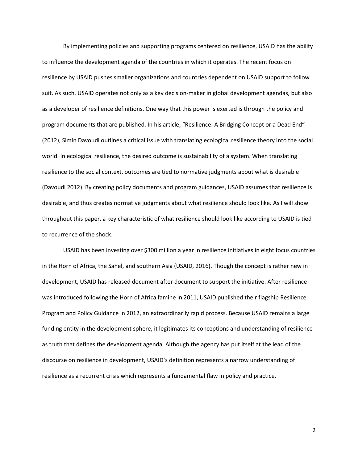By implementing policies and supporting programs centered on resilience, USAID has the ability to influence the development agenda of the countries in which it operates. The recent focus on resilience by USAID pushes smaller organizations and countries dependent on USAID support to follow suit. As such, USAID operates not only as a key decision-maker in global development agendas, but also as a developer of resilience definitions. One way that this power is exerted is through the policy and program documents that are published. In his article, "Resilience: A Bridging Concept or a Dead End" (2012), Simin Davoudi outlines a critical issue with translating ecological resilience theory into the social world. In ecological resilience, the desired outcome is sustainability of a system. When translating resilience to the social context, outcomes are tied to normative judgments about what is desirable (Davoudi 2012). By creating policy documents and program guidances, USAID assumes that resilience is desirable, and thus creates normative judgments about what resilience should look like. As I will show throughout this paper, a key characteristic of what resilience should look like according to USAID is tied to recurrence of the shock.

USAID has been investing over \$300 million a year in resilience initiatives in eight focus countries in the Horn of Africa, the Sahel, and southern Asia (USAID, 2016). Though the concept is rather new in development, USAID has released document after document to support the initiative. After resilience was introduced following the Horn of Africa famine in 2011, USAID published their flagship Resilience Program and Policy Guidance in 2012, an extraordinarily rapid process. Because USAID remains a large funding entity in the development sphere, it legitimates its conceptions and understanding of resilience as truth that defines the development agenda. Although the agency has put itself at the lead of the discourse on resilience in development, USAID's definition represents a narrow understanding of resilience as a recurrent crisis which represents a fundamental flaw in policy and practice.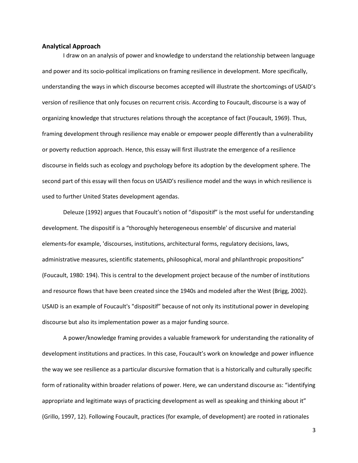#### <span id="page-7-0"></span>**Analytical Approach**

I draw on an analysis of power and knowledge to understand the relationship between language and power and its socio-political implications on framing resilience in development. More specifically, understanding the ways in which discourse becomes accepted will illustrate the shortcomings of USAID's version of resilience that only focuses on recurrent crisis. According to Foucault, discourse is a way of organizing knowledge that structures relations through the acceptance of fact (Foucault, 1969). Thus, framing development through resilience may enable or empower people differently than a vulnerability or poverty reduction approach. Hence, this essay will first illustrate the emergence of a resilience discourse in fields such as ecology and psychology before its adoption by the development sphere. The second part of this essay will then focus on USAID's resilience model and the ways in which resilience is used to further United States development agendas.

Deleuze (1992) argues that Foucault's notion of "dispositif" is the most useful for understanding development. The dispositif is a "thoroughly heterogeneous ensemble' of discursive and material elements-for example, 'discourses, institutions, architectural forms, regulatory decisions, laws, administrative measures, scientific statements, philosophical, moral and philanthropic propositions" (Foucault, 1980: 194). This is central to the development project because of the number of institutions and resource flows that have been created since the 1940s and modeled after the West (Brigg, 2002). USAID is an example of Foucault's "dispositif" because of not only its institutional power in developing discourse but also its implementation power as a major funding source.

A power/knowledge framing provides a valuable framework for understanding the rationality of development institutions and practices. In this case, Foucault's work on knowledge and power influence the way we see resilience as a particular discursive formation that is a historically and culturally specific form of rationality within broader relations of power. Here, we can understand discourse as: "identifying appropriate and legitimate ways of practicing development as well as speaking and thinking about it" (Grillo, 1997, 12). Following Foucault, practices (for example, of development) are rooted in rationales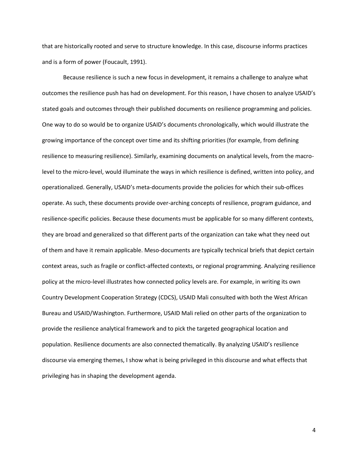that are historically rooted and serve to structure knowledge. In this case, discourse informs practices and is a form of power (Foucault, 1991).

Because resilience is such a new focus in development, it remains a challenge to analyze what outcomes the resilience push has had on development. For this reason, I have chosen to analyze USAID's stated goals and outcomes through their published documents on resilience programming and policies. One way to do so would be to organize USAID's documents chronologically, which would illustrate the growing importance of the concept over time and its shifting priorities (for example, from defining resilience to measuring resilience). Similarly, examining documents on analytical levels, from the macrolevel to the micro-level, would illuminate the ways in which resilience is defined, written into policy, and operationalized. Generally, USAID's meta-documents provide the policies for which their sub-offices operate. As such, these documents provide over-arching concepts of resilience, program guidance, and resilience-specific policies. Because these documents must be applicable for so many different contexts, they are broad and generalized so that different parts of the organization can take what they need out of them and have it remain applicable. Meso-documents are typically technical briefs that depict certain context areas, such as fragile or conflict-affected contexts, or regional programming. Analyzing resilience policy at the micro-level illustrates how connected policy levels are. For example, in writing its own Country Development Cooperation Strategy (CDCS), USAID Mali consulted with both the West African Bureau and USAID/Washington. Furthermore, USAID Mali relied on other parts of the organization to provide the resilience analytical framework and to pick the targeted geographical location and population. Resilience documents are also connected thematically. By analyzing USAID's resilience discourse via emerging themes, I show what is being privileged in this discourse and what effects that privileging has in shaping the development agenda.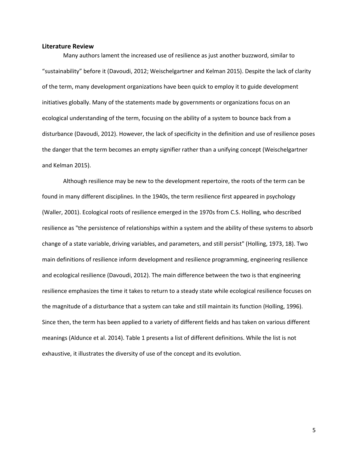#### <span id="page-9-0"></span>**Literature Review**

Many authors lament the increased use of resilience as just another buzzword, similar to "sustainability" before it (Davoudi, 2012; Weischelgartner and Kelman 2015). Despite the lack of clarity of the term, many development organizations have been quick to employ it to guide development initiatives globally. Many of the statements made by governments or organizations focus on an ecological understanding of the term, focusing on the ability of a system to bounce back from a disturbance (Davoudi, 2012). However, the lack of specificity in the definition and use of resilience poses the danger that the term becomes an empty signifier rather than a unifying concept (Weischelgartner and Kelman 2015).

Although resilience may be new to the development repertoire, the roots of the term can be found in many different disciplines. In the 1940s, the term resilience first appeared in psychology (Waller, 2001). Ecological roots of resilience emerged in the 1970s from C.S. Holling, who described resilience as "the persistence of relationships within a system and the ability of these systems to absorb change of a state variable, driving variables, and parameters, and still persist" (Holling, 1973, 18). Two main definitions of resilience inform development and resilience programming, engineering resilience and ecological resilience (Davoudi, 2012). The main difference between the two is that engineering resilience emphasizes the time it takes to return to a steady state while ecological resilience focuses on the magnitude of a disturbance that a system can take and still maintain its function (Holling, 1996). Since then, the term has been applied to a variety of different fields and has taken on various different meanings (Aldunce et al. 2014). Table 1 presents a list of different definitions. While the list is not exhaustive, it illustrates the diversity of use of the concept and its evolution.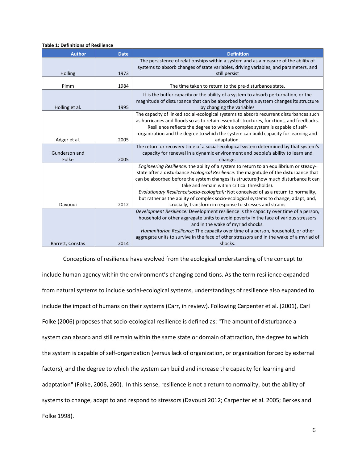#### **Table 1: Definitions of Resilience**

| <b>Author</b>    | <b>Date</b> | <b>Definition</b>                                                                                                                                                                                                                                                                                                                                                                                                                                                                                        |
|------------------|-------------|----------------------------------------------------------------------------------------------------------------------------------------------------------------------------------------------------------------------------------------------------------------------------------------------------------------------------------------------------------------------------------------------------------------------------------------------------------------------------------------------------------|
| Holling          | 1973        | The persistence of relationships within a system and as a measure of the ability of<br>systems to absorb changes of state variables, driving variables, and parameters, and<br>still persist                                                                                                                                                                                                                                                                                                             |
|                  |             |                                                                                                                                                                                                                                                                                                                                                                                                                                                                                                          |
| Pimm             | 1984        | The time taken to return to the pre-disturbance state.                                                                                                                                                                                                                                                                                                                                                                                                                                                   |
| Holling et al.   | 1995        | It is the buffer capacity or the ability of a system to absorb perturbation, or the<br>magnitude of disturbance that can be absorbed before a system changes its structure<br>by changing the variables                                                                                                                                                                                                                                                                                                  |
| Adger et al.     | 2005        | The capacity of linked social-ecological systems to absorb recurrent disturbances such<br>as hurricanes and floods so as to retain essential structures, functions, and feedbacks.<br>Resilience reflects the degree to which a complex system is capable of self-<br>organization and the degree to which the system can build capacity for learning and<br>adaptation.                                                                                                                                 |
|                  |             | The return or recovery time of a social-ecological system determined by that system's                                                                                                                                                                                                                                                                                                                                                                                                                    |
| Gunderson and    |             | capacity for renewal in a dynamic environment and people's ability to learn and                                                                                                                                                                                                                                                                                                                                                                                                                          |
| Folke            | 2005        | change.                                                                                                                                                                                                                                                                                                                                                                                                                                                                                                  |
|                  |             | Engineering Resilience: the ability of a system to return to an equilibrium or steady-<br>state after a disturbance Ecological Resilience: the magnitude of the disturbance that<br>can be absorbed before the system changes its structure(how much disturbance it can<br>take and remain within critical thresholds).<br>Evolutionary Resilience(socio-ecological): Not conceived of as a return to normality,<br>but rather as the ability of complex socio-ecological systems to change, adapt, and, |
| Davoudi          | 2012        | crucially, transform in response to stresses and strains                                                                                                                                                                                                                                                                                                                                                                                                                                                 |
|                  |             | Development Resilience: Development resilience is the capacity over time of a person,<br>household or other aggregate units to avoid poverty in the face of various stressors<br>and in the wake of myriad shocks.<br>Humanitarian Resilience: The capacity over time of a person, household, or other<br>aggregate units to survive in the face of other stressors and in the wake of a myriad of                                                                                                       |
| Barrett, Constas | 2014        | shocks.                                                                                                                                                                                                                                                                                                                                                                                                                                                                                                  |

Conceptions of resilience have evolved from the ecological understanding of the concept to include human agency within the environment's changing conditions. As the term resilience expanded from natural systems to include social-ecological systems, understandings of resilience also expanded to include the impact of humans on their systems (Carr, in review). Following Carpenter et al. (2001), Carl Folke (2006) proposes that socio-ecological resilience is defined as: "The amount of disturbance a system can absorb and still remain within the same state or domain of attraction, the degree to which the system is capable of self-organization (versus lack of organization, or organization forced by external factors), and the degree to which the system can build and increase the capacity for learning and adaptation" (Folke, 2006, 260). In this sense, resilience is not a return to normality, but the ability of systems to change, adapt to and respond to stressors (Davoudi 2012; Carpenter et al. 2005; Berkes and Folke 1998).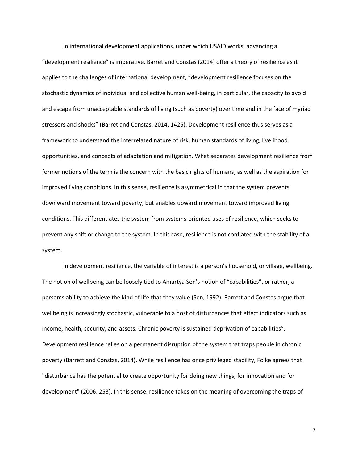In international development applications, under which USAID works, advancing a "development resilience" is imperative. Barret and Constas (2014) offer a theory of resilience as it applies to the challenges of international development, "development resilience focuses on the stochastic dynamics of individual and collective human well-being, in particular, the capacity to avoid and escape from unacceptable standards of living (such as poverty) over time and in the face of myriad stressors and shocks" (Barret and Constas, 2014, 1425). Development resilience thus serves as a framework to understand the interrelated nature of risk, human standards of living, livelihood opportunities, and concepts of adaptation and mitigation. What separates development resilience from former notions of the term is the concern with the basic rights of humans, as well as the aspiration for improved living conditions. In this sense, resilience is asymmetrical in that the system prevents downward movement toward poverty, but enables upward movement toward improved living conditions. This differentiates the system from systems-oriented uses of resilience, which seeks to prevent any shift or change to the system. In this case, resilience is not conflated with the stability of a system.

In development resilience, the variable of interest is a person's household, or village, wellbeing. The notion of wellbeing can be loosely tied to Amartya Sen's notion of "capabilities", or rather, a person's ability to achieve the kind of life that they value (Sen, 1992). Barrett and Constas argue that wellbeing is increasingly stochastic, vulnerable to a host of disturbances that effect indicators such as income, health, security, and assets. Chronic poverty is sustained deprivation of capabilities". Development resilience relies on a permanent disruption of the system that traps people in chronic poverty (Barrett and Constas, 2014). While resilience has once privileged stability, Folke agrees that "disturbance has the potential to create opportunity for doing new things, for innovation and for development" (2006, 253). In this sense, resilience takes on the meaning of overcoming the traps of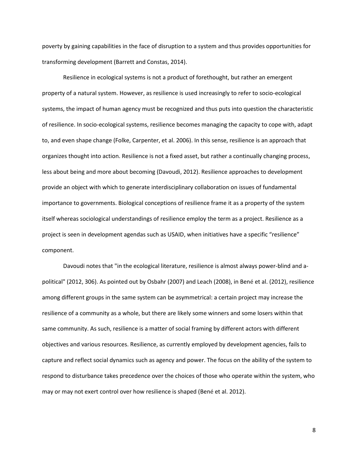poverty by gaining capabilities in the face of disruption to a system and thus provides opportunities for transforming development (Barrett and Constas, 2014).

Resilience in ecological systems is not a product of forethought, but rather an emergent property of a natural system. However, as resilience is used increasingly to refer to socio-ecological systems, the impact of human agency must be recognized and thus puts into question the characteristic of resilience. In socio-ecological systems, resilience becomes managing the capacity to cope with, adapt to, and even shape change (Folke, Carpenter, et al. 2006). In this sense, resilience is an approach that organizes thought into action. Resilience is not a fixed asset, but rather a continually changing process, less about being and more about becoming (Davoudi, 2012). Resilience approaches to development provide an object with which to generate interdisciplinary collaboration on issues of fundamental importance to governments. Biological conceptions of resilience frame it as a property of the system itself whereas sociological understandings of resilience employ the term as a project. Resilience as a project is seen in development agendas such as USAID, when initiatives have a specific "resilience" component.

Davoudi notes that "in the ecological literature, resilience is almost always power-blind and apolitical" (2012, 306). As pointed out by Osbahr (2007) and Leach (2008), in Bené et al. (2012), resilience among different groups in the same system can be asymmetrical: a certain project may increase the resilience of a community as a whole, but there are likely some winners and some losers within that same community. As such, resilience is a matter of social framing by different actors with different objectives and various resources. Resilience, as currently employed by development agencies, fails to capture and reflect social dynamics such as agency and power. The focus on the ability of the system to respond to disturbance takes precedence over the choices of those who operate within the system, who may or may not exert control over how resilience is shaped (Bené et al. 2012).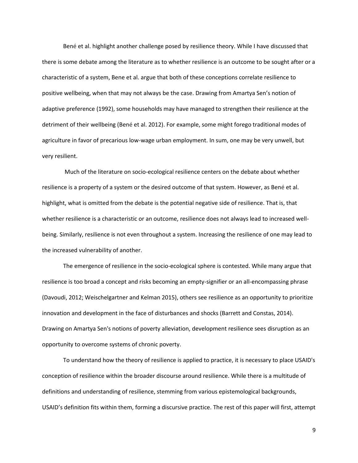Bené et al. highlight another challenge posed by resilience theory. While I have discussed that there is some debate among the literature as to whether resilience is an outcome to be sought after or a characteristic of a system, Bene et al. argue that both of these conceptions correlate resilience to positive wellbeing, when that may not always be the case. Drawing from Amartya Sen's notion of adaptive preference (1992), some households may have managed to strengthen their resilience at the detriment of their wellbeing (Bené et al. 2012). For example, some might forego traditional modes of agriculture in favor of precarious low-wage urban employment. In sum, one may be very unwell, but very resilient.

Much of the literature on socio-ecological resilience centers on the debate about whether resilience is a property of a system or the desired outcome of that system. However, as Bené et al. highlight, what is omitted from the debate is the potential negative side of resilience. That is, that whether resilience is a characteristic or an outcome, resilience does not always lead to increased wellbeing. Similarly, resilience is not even throughout a system. Increasing the resilience of one may lead to the increased vulnerability of another.

The emergence of resilience in the socio-ecological sphere is contested. While many argue that resilience is too broad a concept and risks becoming an empty-signifier or an all-encompassing phrase (Davoudi, 2012; Weischelgartner and Kelman 2015), others see resilience as an opportunity to prioritize innovation and development in the face of disturbances and shocks (Barrett and Constas, 2014). Drawing on Amartya Sen's notions of poverty alleviation, development resilience sees disruption as an opportunity to overcome systems of chronic poverty.

To understand how the theory of resilience is applied to practice, it is necessary to place USAID's conception of resilience within the broader discourse around resilience. While there is a multitude of definitions and understanding of resilience, stemming from various epistemological backgrounds, USAID's definition fits within them, forming a discursive practice. The rest of this paper will first, attempt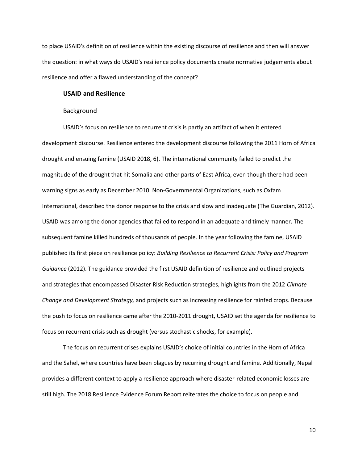to place USAID's definition of resilience within the existing discourse of resilience and then will answer the question: in what ways do USAID's resilience policy documents create normative judgements about resilience and offer a flawed understanding of the concept?

#### <span id="page-14-0"></span>**USAID and Resilience**

#### Background

<span id="page-14-1"></span>USAID's focus on resilience to recurrent crisis is partly an artifact of when it entered development discourse. Resilience entered the development discourse following the 2011 Horn of Africa drought and ensuing famine (USAID 2018, 6). The international community failed to predict the magnitude of the drought that hit Somalia and other parts of East Africa, even though there had been warning signs as early as December 2010. Non-Governmental Organizations, such as Oxfam International, described the donor response to the crisis and slow and inadequate (The Guardian, 2012). USAID was among the donor agencies that failed to respond in an adequate and timely manner. The subsequent famine killed hundreds of thousands of people. In the year following the famine, USAID published its first piece on resilience policy: *Building Resilience to Recurrent Crisis: Policy and Program Guidance* (2012). The guidance provided the first USAID definition of resilience and outlined projects and strategies that encompassed Disaster Risk Reduction strategies, highlights from the 2012 *Climate Change and Development Strategy,* and projects such as increasing resilience for rainfed crops. Because the push to focus on resilience came after the 2010-2011 drought, USAID set the agenda for resilience to focus on recurrent crisis such as drought (versus stochastic shocks, for example).

The focus on recurrent crises explains USAID's choice of initial countries in the Horn of Africa and the Sahel, where countries have been plagues by recurring drought and famine. Additionally, Nepal provides a different context to apply a resilience approach where disaster-related economic losses are still high. The 2018 Resilience Evidence Forum Report reiterates the choice to focus on people and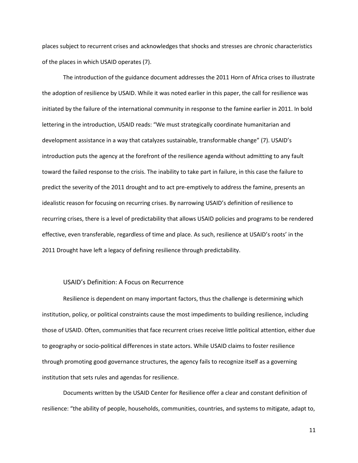places subject to recurrent crises and acknowledges that shocks and stresses are chronic characteristics of the places in which USAID operates (7).

The introduction of the guidance document addresses the 2011 Horn of Africa crises to illustrate the adoption of resilience by USAID. While it was noted earlier in this paper, the call for resilience was initiated by the failure of the international community in response to the famine earlier in 2011. In bold lettering in the introduction, USAID reads: "We must strategically coordinate humanitarian and development assistance in a way that catalyzes sustainable, transformable change" (7). USAID's introduction puts the agency at the forefront of the resilience agenda without admitting to any fault toward the failed response to the crisis. The inability to take part in failure, in this case the failure to predict the severity of the 2011 drought and to act pre-emptively to address the famine, presents an idealistic reason for focusing on recurring crises. By narrowing USAID's definition of resilience to recurring crises, there is a level of predictability that allows USAID policies and programs to be rendered effective, even transferable, regardless of time and place. As such, resilience at USAID's roots' in the 2011 Drought have left a legacy of defining resilience through predictability.

#### USAID's Definition: A Focus on Recurrence

<span id="page-15-0"></span>Resilience is dependent on many important factors, thus the challenge is determining which institution, policy, or political constraints cause the most impediments to building resilience, including those of USAID. Often, communities that face recurrent crises receive little political attention, either due to geography or socio-political differences in state actors. While USAID claims to foster resilience through promoting good governance structures, the agency fails to recognize itself as a governing institution that sets rules and agendas for resilience.

Documents written by the USAID Center for Resilience offer a clear and constant definition of resilience: "the ability of people, households, communities, countries, and systems to mitigate, adapt to,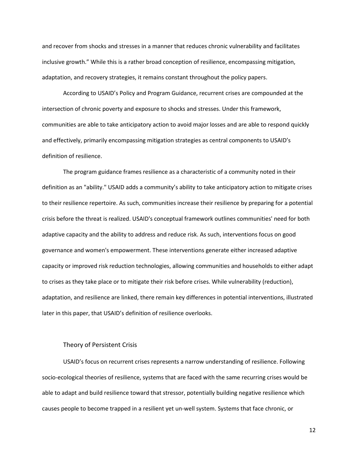and recover from shocks and stresses in a manner that reduces chronic vulnerability and facilitates inclusive growth." While this is a rather broad conception of resilience, encompassing mitigation, adaptation, and recovery strategies, it remains constant throughout the policy papers.

According to USAID's Policy and Program Guidance, recurrent crises are compounded at the intersection of chronic poverty and exposure to shocks and stresses. Under this framework, communities are able to take anticipatory action to avoid major losses and are able to respond quickly and effectively, primarily encompassing mitigation strategies as central components to USAID's definition of resilience.

The program guidance frames resilience as a characteristic of a community noted in their definition as an "ability." USAID adds a community's ability to take anticipatory action to mitigate crises to their resilience repertoire. As such, communities increase their resilience by preparing for a potential crisis before the threat is realized. USAID's conceptual framework outlines communities' need for both adaptive capacity and the ability to address and reduce risk. As such, interventions focus on good governance and women's empowerment. These interventions generate either increased adaptive capacity or improved risk reduction technologies, allowing communities and households to either adapt to crises as they take place or to mitigate their risk before crises. While vulnerability (reduction), adaptation, and resilience are linked, there remain key differences in potential interventions, illustrated later in this paper, that USAID's definition of resilience overlooks.

#### Theory of Persistent Crisis

<span id="page-16-0"></span>USAID's focus on recurrent crises represents a narrow understanding of resilience. Following socio-ecological theories of resilience, systems that are faced with the same recurring crises would be able to adapt and build resilience toward that stressor, potentially building negative resilience which causes people to become trapped in a resilient yet un-well system. Systems that face chronic, or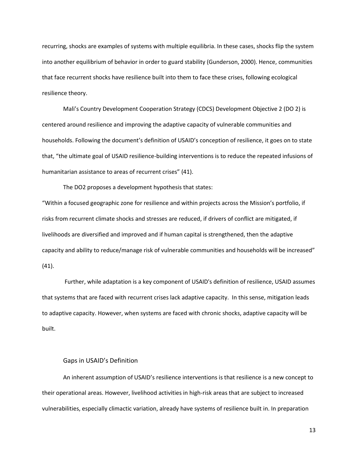recurring, shocks are examples of systems with multiple equilibria. In these cases, shocks flip the system into another equilibrium of behavior in order to guard stability (Gunderson, 2000). Hence, communities that face recurrent shocks have resilience built into them to face these crises, following ecological resilience theory.

Mali's Country Development Cooperation Strategy (CDCS) Development Objective 2 (DO 2) is centered around resilience and improving the adaptive capacity of vulnerable communities and households. Following the document's definition of USAID's conception of resilience, it goes on to state that, "the ultimate goal of USAID resilience-building interventions is to reduce the repeated infusions of humanitarian assistance to areas of recurrent crises" (41).

The DO2 proposes a development hypothesis that states:

"Within a focused geographic zone for resilience and within projects across the Mission's portfolio, if risks from recurrent climate shocks and stresses are reduced, if drivers of conflict are mitigated, if livelihoods are diversified and improved and if human capital is strengthened, then the adaptive capacity and ability to reduce/manage risk of vulnerable communities and households will be increased" (41).

Further, while adaptation is a key component of USAID's definition of resilience, USAID assumes that systems that are faced with recurrent crises lack adaptive capacity. In this sense, mitigation leads to adaptive capacity. However, when systems are faced with chronic shocks, adaptive capacity will be built.

#### Gaps in USAID's Definition

<span id="page-17-0"></span>An inherent assumption of USAID's resilience interventions is that resilience is a new concept to their operational areas. However, livelihood activities in high-risk areas that are subject to increased vulnerabilities, especially climactic variation, already have systems of resilience built in. In preparation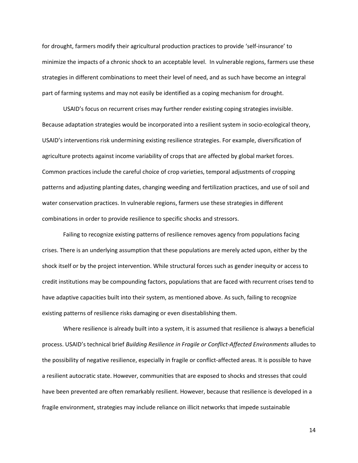for drought, farmers modify their agricultural production practices to provide 'self-insurance' to minimize the impacts of a chronic shock to an acceptable level. In vulnerable regions, farmers use these strategies in different combinations to meet their level of need, and as such have become an integral part of farming systems and may not easily be identified as a coping mechanism for drought.

USAID's focus on recurrent crises may further render existing coping strategies invisible. Because adaptation strategies would be incorporated into a resilient system in socio-ecological theory, USAID's interventions risk undermining existing resilience strategies. For example, diversification of agriculture protects against income variability of crops that are affected by global market forces. Common practices include the careful choice of crop varieties, temporal adjustments of cropping patterns and adjusting planting dates, changing weeding and fertilization practices, and use of soil and water conservation practices. In vulnerable regions, farmers use these strategies in different combinations in order to provide resilience to specific shocks and stressors.

Failing to recognize existing patterns of resilience removes agency from populations facing crises. There is an underlying assumption that these populations are merely acted upon, either by the shock itself or by the project intervention. While structural forces such as gender inequity or access to credit institutions may be compounding factors, populations that are faced with recurrent crises tend to have adaptive capacities built into their system, as mentioned above. As such, failing to recognize existing patterns of resilience risks damaging or even disestablishing them.

Where resilience is already built into a system, it is assumed that resilience is always a beneficial process. USAID's technical brief *Building Resilience in Fragile or Conflict-Affected Environments* alludes to the possibility of negative resilience, especially in fragile or conflict-affected areas. It is possible to have a resilient autocratic state. However, communities that are exposed to shocks and stresses that could have been prevented are often remarkably resilient. However, because that resilience is developed in a fragile environment, strategies may include reliance on illicit networks that impede sustainable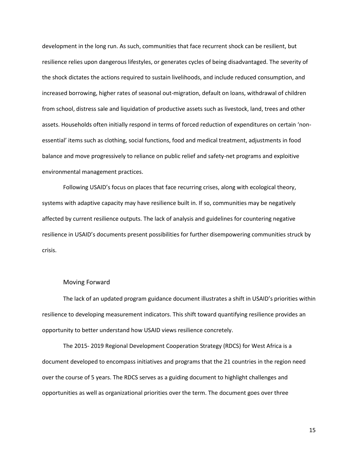development in the long run. As such, communities that face recurrent shock can be resilient, but resilience relies upon dangerous lifestyles, or generates cycles of being disadvantaged. The severity of the shock dictates the actions required to sustain livelihoods, and include reduced consumption, and increased borrowing, higher rates of seasonal out-migration, default on loans, withdrawal of children from school, distress sale and liquidation of productive assets such as livestock, land, trees and other assets. Households often initially respond in terms of forced reduction of expenditures on certain 'nonessential' items such as clothing, social functions, food and medical treatment, adjustments in food balance and move progressively to reliance on public relief and safety-net programs and exploitive environmental management practices.

Following USAID's focus on places that face recurring crises, along with ecological theory, systems with adaptive capacity may have resilience built in. If so, communities may be negatively affected by current resilience outputs. The lack of analysis and guidelines for countering negative resilience in USAID's documents present possibilities for further disempowering communities struck by crisis.

#### Moving Forward

<span id="page-19-0"></span>The lack of an updated program guidance document illustrates a shift in USAID's priorities within resilience to developing measurement indicators. This shift toward quantifying resilience provides an opportunity to better understand how USAID views resilience concretely.

The 2015- 2019 Regional Development Cooperation Strategy (RDCS) for West Africa is a document developed to encompass initiatives and programs that the 21 countries in the region need over the course of 5 years. The RDCS serves as a guiding document to highlight challenges and opportunities as well as organizational priorities over the term. The document goes over three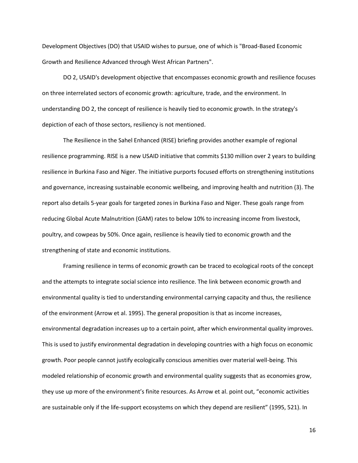Development Objectives (DO) that USAID wishes to pursue, one of which is "Broad-Based Economic Growth and Resilience Advanced through West African Partners".

DO 2, USAID's development objective that encompasses economic growth and resilience focuses on three interrelated sectors of economic growth: agriculture, trade, and the environment. In understanding DO 2, the concept of resilience is heavily tied to economic growth. In the strategy's depiction of each of those sectors, resiliency is not mentioned.

The Resilience in the Sahel Enhanced (RISE) briefing provides another example of regional resilience programming. RISE is a new USAID initiative that commits \$130 million over 2 years to building resilience in Burkina Faso and Niger. The initiative purports focused efforts on strengthening institutions and governance, increasing sustainable economic wellbeing, and improving health and nutrition (3). The report also details 5-year goals for targeted zones in Burkina Faso and Niger. These goals range from reducing Global Acute Malnutrition (GAM) rates to below 10% to increasing income from livestock, poultry, and cowpeas by 50%. Once again, resilience is heavily tied to economic growth and the strengthening of state and economic institutions.

Framing resilience in terms of economic growth can be traced to ecological roots of the concept and the attempts to integrate social science into resilience. The link between economic growth and environmental quality is tied to understanding environmental carrying capacity and thus, the resilience of the environment (Arrow et al. 1995). The general proposition is that as income increases, environmental degradation increases up to a certain point, after which environmental quality improves. This is used to justify environmental degradation in developing countries with a high focus on economic growth. Poor people cannot justify ecologically conscious amenities over material well-being. This modeled relationship of economic growth and environmental quality suggests that as economies grow, they use up more of the environment's finite resources. As Arrow et al. point out, "economic activities are sustainable only if the life-support ecosystems on which they depend are resilient" (1995, 521). In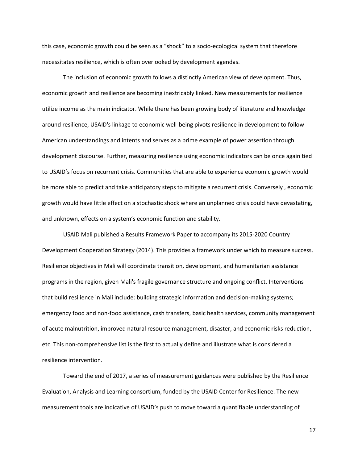this case, economic growth could be seen as a "shock" to a socio-ecological system that therefore necessitates resilience, which is often overlooked by development agendas.

The inclusion of economic growth follows a distinctly American view of development. Thus, economic growth and resilience are becoming inextricably linked. New measurements for resilience utilize income as the main indicator. While there has been growing body of literature and knowledge around resilience, USAID's linkage to economic well-being pivots resilience in development to follow American understandings and intents and serves as a prime example of power assertion through development discourse. Further, measuring resilience using economic indicators can be once again tied to USAID's focus on recurrent crisis. Communities that are able to experience economic growth would be more able to predict and take anticipatory steps to mitigate a recurrent crisis. Conversely , economic growth would have little effect on a stochastic shock where an unplanned crisis could have devastating, and unknown, effects on a system's economic function and stability.

USAID Mali published a Results Framework Paper to accompany its 2015-2020 Country Development Cooperation Strategy (2014). This provides a framework under which to measure success. Resilience objectives in Mali will coordinate transition, development, and humanitarian assistance programs in the region, given Mali's fragile governance structure and ongoing conflict. Interventions that build resilience in Mali include: building strategic information and decision-making systems; emergency food and non-food assistance, cash transfers, basic health services, community management of acute malnutrition, improved natural resource management, disaster, and economic risks reduction, etc. This non-comprehensive list is the first to actually define and illustrate what is considered a resilience intervention.

Toward the end of 2017, a series of measurement guidances were published by the Resilience Evaluation, Analysis and Learning consortium, funded by the USAID Center for Resilience. The new measurement tools are indicative of USAID's push to move toward a quantifiable understanding of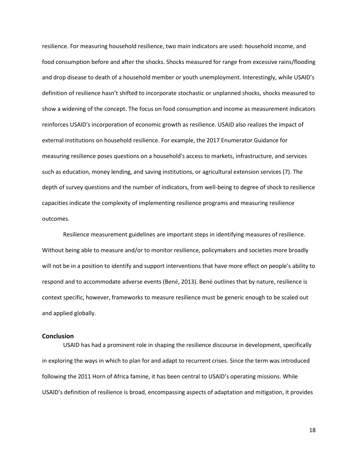resilience. For measuring household resilience, two main indicators are used: household income, and food consumption before and after the shocks. Shocks measured for range from excessive rains/flooding and drop disease to death of a household member or youth unemployment. Interestingly, while USAID's definition of resilience hasn't shifted to incorporate stochastic or unplanned shocks, shocks measured to show a widening of the concept. The focus on food consumption and income as measurement indicators reinforces USAID's incorporation of economic growth as resilience. USAID also realizes the impact of external institutions on household resilience. For example, the 2017 Enumerator Guidance for measuring resilience poses questions on a household's access to markets, infrastructure, and services such as education, money lending, and saving institutions, or agricultural extension services (7). The depth of survey questions and the number of indicators, from well-being to degree of shock to resilience capacities indicate the complexity of implementing resilience programs and measuring resilience outcomes.

Resilience measurement guidelines are important steps in identifying measures of resilience. Without being able to measure and/or to monitor resilience, policymakers and societies more broadly will not be in a position to identify and support interventions that have more effect on people's ability to respond and to accommodate adverse events (Bené, 2013). Bené outlines that by nature, resilience is context specific, however, frameworks to measure resilience must be generic enough to be scaled out and applied globally.

### <span id="page-22-0"></span>**Conclusion**

USAID has had a prominent role in shaping the resilience discourse in development, specifically in exploring the ways in which to plan for and adapt to recurrent crises. Since the term was introduced following the 2011 Horn of Africa famine, it has been central to USAID's operating missions. While USAID's definition of resilience is broad, encompassing aspects of adaptation and mitigation, it provides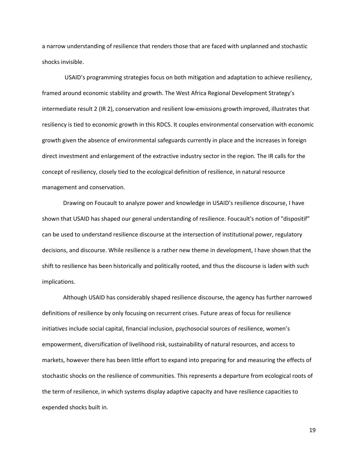a narrow understanding of resilience that renders those that are faced with unplanned and stochastic shocks invisible.

USAID's programming strategies focus on both mitigation and adaptation to achieve resiliency, framed around economic stability and growth. The West Africa Regional Development Strategy's intermediate result 2 (IR 2), conservation and resilient low-emissions growth improved, illustrates that resiliency is tied to economic growth in this RDCS. It couples environmental conservation with economic growth given the absence of environmental safeguards currently in place and the increases in foreign direct investment and enlargement of the extractive industry sector in the region. The IR calls for the concept of resiliency, closely tied to the ecological definition of resilience, in natural resource management and conservation.

Drawing on Foucault to analyze power and knowledge in USAID's resilience discourse, I have shown that USAID has shaped our general understanding of resilience. Foucault's notion of "dispositif" can be used to understand resilience discourse at the intersection of institutional power, regulatory decisions, and discourse. While resilience is a rather new theme in development, I have shown that the shift to resilience has been historically and politically rooted, and thus the discourse is laden with such implications.

Although USAID has considerably shaped resilience discourse, the agency has further narrowed definitions of resilience by only focusing on recurrent crises. Future areas of focus for resilience initiatives include social capital, financial inclusion, psychosocial sources of resilience, women's empowerment, diversification of livelihood risk, sustainability of natural resources, and access to markets, however there has been little effort to expand into preparing for and measuring the effects of stochastic shocks on the resilience of communities. This represents a departure from ecological roots of the term of resilience, in which systems display adaptive capacity and have resilience capacities to expended shocks built in.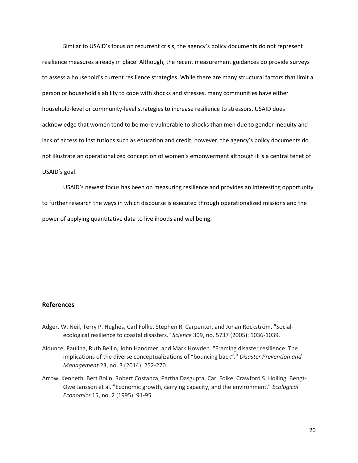Similar to USAID's focus on recurrent crisis, the agency's policy documents do not represent resilience measures already in place. Although, the recent measurement guidances do provide surveys to assess a household's current resilience strategies. While there are many structural factors that limit a person or household's ability to cope with shocks and stresses, many communities have either household-level or community-level strategies to increase resilience to stressors. USAID does acknowledge that women tend to be more vulnerable to shocks than men due to gender inequity and lack of access to institutions such as education and credit, however, the agency's policy documents do not illustrate an operationalized conception of women's empowerment although it is a central tenet of USAID's goal.

USAID's newest focus has been on measuring resilience and provides an interesting opportunity to further research the ways in which discourse is executed through operationalized missions and the power of applying quantitative data to livelihoods and wellbeing.

## <span id="page-24-0"></span>**References**

- Adger, W. Neil, Terry P. Hughes, Carl Folke, Stephen R. Carpenter, and Johan Rockström. "Socialecological resilience to coastal disasters." *Science* 309, no. 5737 (2005): 1036-1039.
- Aldunce, Paulina, Ruth Beilin, John Handmer, and Mark Howden. "Framing disaster resilience: The implications of the diverse conceptualizations of "bouncing back"." *Disaster Prevention and Management* 23, no. 3 (2014): 252-270.
- Arrow, Kenneth, Bert Bolin, Robert Costanza, Partha Dasgupta, Carl Folke, Crawford S. Holling, Bengt-Owe Jansson et al. "Economic growth, carrying capacity, and the environment." *Ecological Economics* 15, no. 2 (1995): 91-95.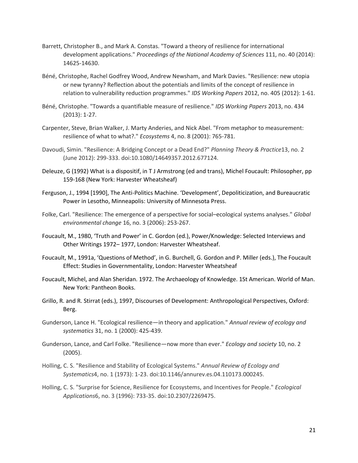- Barrett, Christopher B., and Mark A. Constas. "Toward a theory of resilience for international development applications." *Proceedings of the National Academy of Sciences* 111, no. 40 (2014): 14625-14630.
- Béné, Christophe, Rachel Godfrey Wood, Andrew Newsham, and Mark Davies. "Resilience: new utopia or new tyranny? Reflection about the potentials and limits of the concept of resilience in relation to vulnerability reduction programmes." *IDS Working Papers* 2012, no. 405 (2012): 1-61.
- Béné, Christophe. "Towards a quantifiable measure of resilience." *IDS Working Papers* 2013, no. 434 (2013): 1-27.
- Carpenter, Steve, Brian Walker, J. Marty Anderies, and Nick Abel. "From metaphor to measurement: resilience of what to what?." *Ecosystems* 4, no. 8 (2001): 765-781.
- Davoudi, Simin. "Resilience: A Bridging Concept or a Dead End?" *Planning Theory & Practice*13, no. 2 (June 2012): 299-333. doi:10.1080/14649357.2012.677124.
- Deleuze, G (1992) What is a dispositif, in T J Armstrong (ed and trans), Michel Foucault: Philosopher, pp 159-168 (New York: Harvester Wheatsheaf)
- Ferguson, J., 1994 [1990], The Anti-Politics Machine. 'Development', Depoliticization, and Bureaucratic Power in Lesotho, Minneapolis: University of Minnesota Press.
- Folke, Carl. "Resilience: The emergence of a perspective for social–ecological systems analyses." *Global environmental change* 16, no. 3 (2006): 253-267.
- Foucault, M., 1980, 'Truth and Power' in C. Gordon (ed.), Power/Knowledge: Selected Interviews and Other Writings 1972– 1977, London: Harvester Wheatsheaf.
- Foucault, M., 1991a, 'Questions of Method', in G. Burchell, G. Gordon and P. Miller (eds.), The Foucault Effect: Studies in Governmentality, London: Harvester Wheatsheaf
- Foucault, Michel, and Alan Sheridan. 1972. The Archaeology of Knowledge. 1St American. World of Man. New York: Pantheon Books.
- Grillo, R. and R. Stirrat (eds.), 1997, Discourses of Development: Anthropological Perspectives, Oxford: Berg.
- Gunderson, Lance H. "Ecological resilience—in theory and application." *Annual review of ecology and systematics* 31, no. 1 (2000): 425-439.
- Gunderson, Lance, and Carl Folke. "Resilience—now more than ever." *Ecology and society* 10, no. 2 (2005).
- Holling, C. S. "Resilience and Stability of Ecological Systems." *Annual Review of Ecology and Systematics*4, no. 1 (1973): 1-23. doi:10.1146/annurev.es.04.110173.000245.
- Holling, C. S. "Surprise for Science, Resilience for Ecosystems, and Incentives for People." *Ecological Applications*6, no. 3 (1996): 733-35. doi:10.2307/2269475.